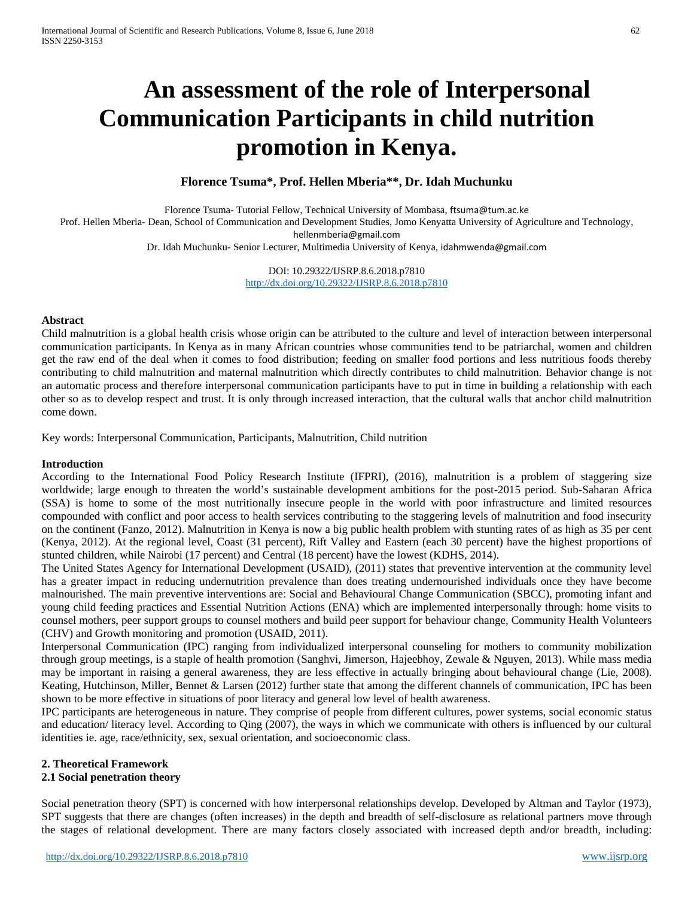# **An assessment of the role of Interpersonal Communication Participants in child nutrition promotion in Kenya.**

#### **Florence Tsuma\*, Prof. Hellen Mberia\*\*, Dr. Idah Muchunku**

Florence Tsuma- Tutorial Fellow, Technical University of Mombasa, [ftsuma@tum.ac.ke](mailto:ftsuma@tum.ac.ke) Prof. Hellen Mberia- Dean, School of Communication and Development Studies, Jomo Kenyatta University of Agriculture and Technology, [hellenmberia@gmail.com](mailto:hellenmberia@gmail.com) Dr. Idah Muchunku- Senior Lecturer, Multimedia University of Kenya, [idahmwenda@gmail.com](mailto:idahmwenda@gmail.com)

DOI: 10.29322/IJSRP.8.6.2018.p7810

<http://dx.doi.org/10.29322/IJSRP.8.6.2018.p7810>

#### **Abstract**

Child malnutrition is a global health crisis whose origin can be attributed to the culture and level of interaction between interpersonal communication participants. In Kenya as in many African countries whose communities tend to be patriarchal, women and children get the raw end of the deal when it comes to food distribution; feeding on smaller food portions and less nutritious foods thereby contributing to child malnutrition and maternal malnutrition which directly contributes to child malnutrition. Behavior change is not an automatic process and therefore interpersonal communication participants have to put in time in building a relationship with each other so as to develop respect and trust. It is only through increased interaction, that the cultural walls that anchor child malnutrition come down.

Key words: Interpersonal Communication, Participants, Malnutrition, Child nutrition

#### **Introduction**

According to the International Food Policy Research Institute (IFPRI), (2016), malnutrition is a problem of staggering size worldwide; large enough to threaten the world's sustainable development ambitions for the post-2015 period. Sub-Saharan Africa (SSA) is home to some of the most nutritionally insecure people in the world with poor infrastructure and limited resources compounded with conflict and poor access to health services contributing to the staggering levels of malnutrition and food insecurity on the continent (Fanzo, 2012). Malnutrition in Kenya is now a big public health problem with stunting rates of as high as 35 per cent (Kenya, 2012). At the regional level, Coast (31 percent), Rift Valley and Eastern (each 30 percent) have the highest proportions of stunted children, while Nairobi (17 percent) and Central (18 percent) have the lowest (KDHS, 2014).

The United States Agency for International Development (USAID), (2011) states that preventive intervention at the community level has a greater impact in reducing undernutrition prevalence than does treating undernourished individuals once they have become malnourished. The main preventive interventions are: Social and Behavioural Change Communication (SBCC), promoting infant and young child feeding practices and Essential Nutrition Actions (ENA) which are implemented interpersonally through: home visits to counsel mothers, peer support groups to counsel mothers and build peer support for behaviour change, Community Health Volunteers (CHV) and Growth monitoring and promotion (USAID, 2011).

Interpersonal Communication (IPC) ranging from individualized interpersonal counseling for mothers to community mobilization through group meetings, is a staple of health promotion (Sanghvi, Jimerson, Hajeebhoy, Zewale & Nguyen, 2013). While mass media may be important in raising a general awareness, they are less effective in actually bringing about behavioural change (Lie, 2008). Keating, Hutchinson, Miller, Bennet & Larsen (2012) further state that among the different channels of communication, IPC has been shown to be more effective in situations of poor literacy and general low level of health awareness.

IPC participants are heterogeneous in nature. They comprise of people from different cultures, power systems, social economic status and education/ literacy level. According to Qing (2007), the ways in which we communicate with others is influenced by our cultural identities ie. age, race/ethnicity, sex, sexual orientation, and socioeconomic class.

# **2. Theoretical Framework**

### **2.1 Social penetration theory**

Social penetration theory (SPT) is concerned with how interpersonal relationships develop. Developed by Altman and Taylor (1973), SPT suggests that there are changes (often increases) in the depth and breadth of self-disclosure as relational partners move through the stages of relational development. There are many factors closely associated with increased depth and/or breadth, including: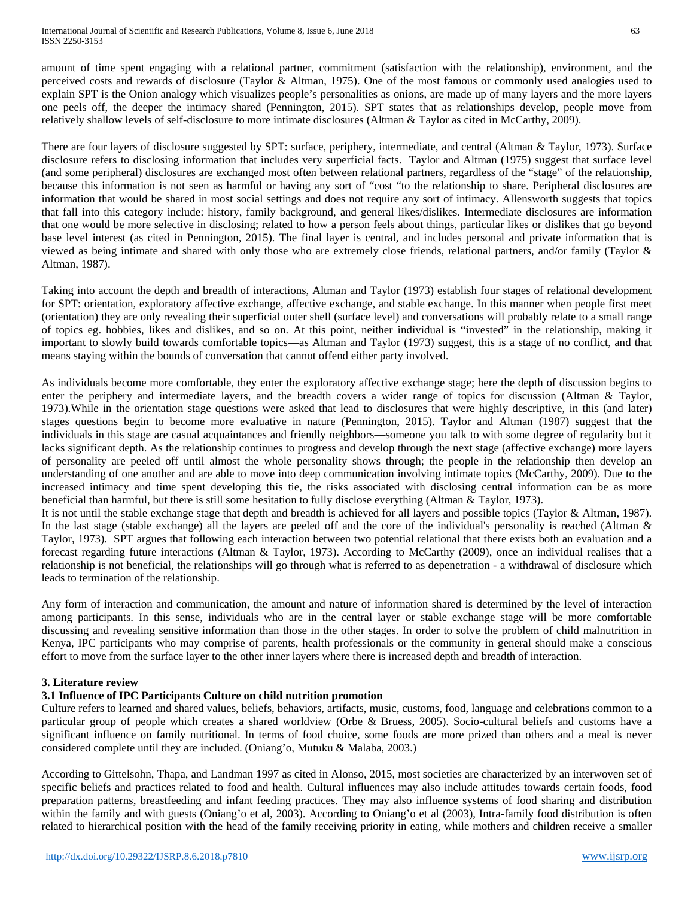amount of time spent engaging with a relational partner, commitment (satisfaction with the relationship), environment, and the perceived costs and rewards of disclosure (Taylor & Altman, 1975). One of the most famous or commonly used analogies used to explain SPT is the Onion analogy which visualizes people's personalities as onions, are made up of many layers and the more layers one peels off, the deeper the intimacy shared (Pennington, 2015). SPT states that as relationships develop, people move from relatively shallow levels of self-disclosure to more intimate disclosures (Altman & Taylor as cited in McCarthy, 2009).

There are four layers of disclosure suggested by SPT: surface, periphery, intermediate, and central (Altman & Taylor, 1973). Surface disclosure refers to disclosing information that includes very superficial facts. Taylor and Altman (1975) suggest that surface level (and some peripheral) disclosures are exchanged most often between relational partners, regardless of the "stage" of the relationship, because this information is not seen as harmful or having any sort of "cost "to the relationship to share. Peripheral disclosures are information that would be shared in most social settings and does not require any sort of intimacy. Allensworth suggests that topics that fall into this category include: history, family background, and general likes/dislikes. Intermediate disclosures are information that one would be more selective in disclosing; related to how a person feels about things, particular likes or dislikes that go beyond base level interest (as cited in Pennington, 2015). The final layer is central, and includes personal and private information that is viewed as being intimate and shared with only those who are extremely close friends, relational partners, and/or family (Taylor & Altman, 1987).

Taking into account the depth and breadth of interactions, Altman and Taylor (1973) establish four stages of relational development for SPT: orientation, exploratory affective exchange, affective exchange, and stable exchange. In this manner when people first meet (orientation) they are only revealing their superficial outer shell (surface level) and conversations will probably relate to a small range of topics eg. hobbies, likes and dislikes, and so on. At this point, neither individual is "invested" in the relationship, making it important to slowly build towards comfortable topics—as Altman and Taylor (1973) suggest, this is a stage of no conflict, and that means staying within the bounds of conversation that cannot offend either party involved.

As individuals become more comfortable, they enter the exploratory affective exchange stage; here the depth of discussion begins to enter the periphery and intermediate layers, and the breadth covers a wider range of topics for discussion (Altman & Taylor, 1973).While in the orientation stage questions were asked that lead to disclosures that were highly descriptive, in this (and later) stages questions begin to become more evaluative in nature (Pennington, 2015). Taylor and Altman (1987) suggest that the individuals in this stage are casual acquaintances and friendly neighbors—someone you talk to with some degree of regularity but it lacks significant depth. As the relationship continues to progress and develop through the next stage (affective exchange) more layers of personality are peeled off until almost the whole personality shows through; the people in the relationship then develop an understanding of one another and are able to move into deep communication involving intimate topics (McCarthy, 2009). Due to the increased intimacy and time spent developing this tie, the risks associated with disclosing central information can be as more beneficial than harmful, but there is still some hesitation to fully disclose everything (Altman & Taylor, 1973).

It is not until the stable exchange stage that depth and breadth is achieved for all layers and possible topics (Taylor & Altman, 1987). In the last stage (stable exchange) all the layers are peeled off and the core of the individual's personality is reached (Altman  $\&$ Taylor, 1973). SPT argues that following each interaction between two potential relational that there exists both an evaluation and a forecast regarding future interactions (Altman & Taylor, 1973). According to McCarthy (2009), once an individual realises that a relationship is not beneficial, the relationships will go through what is referred to as depenetration - a withdrawal of disclosure which leads to termination of the relationship.

Any form of interaction and communication, the amount and nature of information shared is determined by the level of interaction among participants. In this sense, individuals who are in the central layer or stable exchange stage will be more comfortable discussing and revealing sensitive information than those in the other stages. In order to solve the problem of child malnutrition in Kenya, IPC participants who may comprise of parents, health professionals or the community in general should make a conscious effort to move from the surface layer to the other inner layers where there is increased depth and breadth of interaction.

#### **3. Literature review**

## **3.1 Influence of IPC Participants Culture on child nutrition promotion**

Culture refers to learned and shared values, beliefs, behaviors, artifacts, music, customs, food, language and celebrations common to a particular group of people which creates a shared worldview (Orbe & Bruess, 2005). Socio-cultural beliefs and customs have a significant influence on family nutritional. In terms of food choice, some foods are more prized than others and a meal is never considered complete until they are included. (Oniang'o, Mutuku & Malaba, 2003.)

According to Gittelsohn, Thapa, and Landman 1997 as cited in Alonso, 2015, most societies are characterized by an interwoven set of specific beliefs and practices related to food and health. Cultural influences may also include attitudes towards certain foods, food preparation patterns, breastfeeding and infant feeding practices. They may also influence systems of food sharing and distribution within the family and with guests (Oniang'o et al, 2003). According to Oniang'o et al (2003), Intra-family food distribution is often related to hierarchical position with the head of the family receiving priority in eating, while mothers and children receive a smaller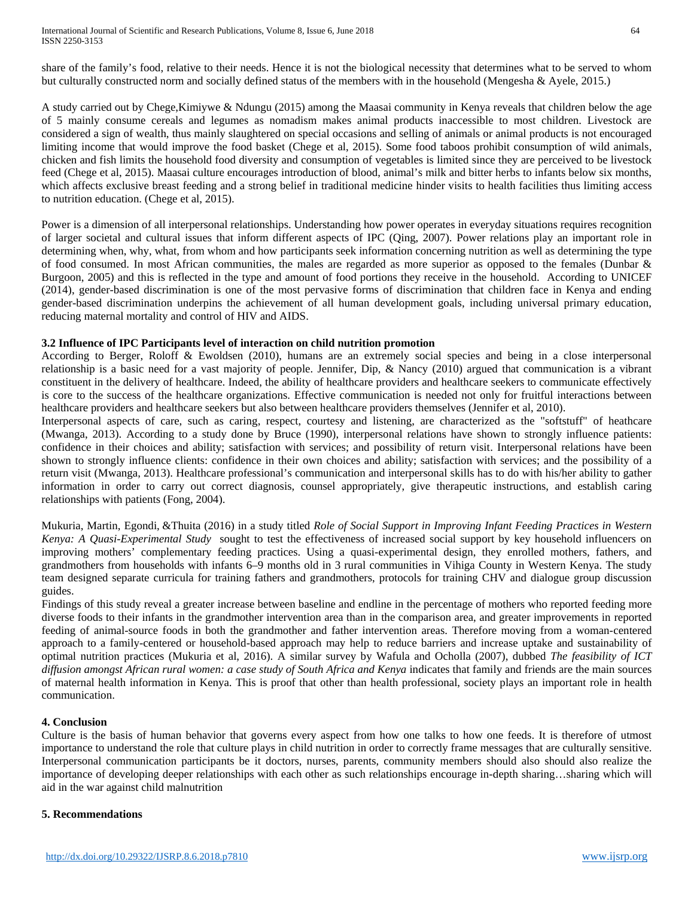International Journal of Scientific and Research Publications, Volume 8, Issue 6, June 2018 64 ISSN 2250-3153

share of the family's food, relative to their needs. Hence it is not the biological necessity that determines what to be served to whom but culturally constructed norm and socially defined status of the members with in the household (Mengesha & Ayele, 2015.)

A study carried out by Chege,Kimiywe & Ndungu (2015) among the Maasai community in Kenya reveals that children below the age of 5 mainly consume cereals and legumes as nomadism makes animal products inaccessible to most children. Livestock are considered a sign of wealth, thus mainly slaughtered on special occasions and selling of animals or animal products is not encouraged limiting income that would improve the food basket (Chege et al, 2015). Some food taboos prohibit consumption of wild animals, chicken and fish limits the household food diversity and consumption of vegetables is limited since they are perceived to be livestock feed (Chege et al, 2015). Maasai culture encourages introduction of blood, animal's milk and bitter herbs to infants below six months, which affects exclusive breast feeding and a strong belief in traditional medicine hinder visits to health facilities thus limiting access to nutrition education. (Chege et al, 2015).

Power is a dimension of all interpersonal relationships. Understanding how power operates in everyday situations requires recognition of larger societal and cultural issues that inform different aspects of IPC (Qing, 2007). Power relations play an important role in determining when, why, what, from whom and how participants seek information concerning nutrition as well as determining the type of food consumed. In most African communities, the males are regarded as more superior as opposed to the females (Dunbar  $\&$ Burgoon, 2005) and this is reflected in the type and amount of food portions they receive in the household. According to UNICEF (2014), gender-based discrimination is one of the most pervasive forms of discrimination that children face in Kenya and ending gender-based discrimination underpins the achievement of all human development goals, including universal primary education, reducing maternal mortality and control of HIV and AIDS.

#### **3.2 Influence of IPC Participants level of interaction on child nutrition promotion**

According to Berger, Roloff & Ewoldsen (2010), humans are an extremely social species and being in a close interpersonal relationship is a basic need for a vast majority of people. Jennifer, Dip, & Nancy (2010) argued that communication is a vibrant constituent in the delivery of healthcare. Indeed, the ability of healthcare providers and healthcare seekers to communicate effectively is core to the success of the healthcare organizations. Effective communication is needed not only for fruitful interactions between healthcare providers and healthcare seekers but also between healthcare providers themselves (Jennifer et al, 2010).

Interpersonal aspects of care, such as caring, respect, courtesy and listening, are characterized as the "softstuff" of heathcare (Mwanga, 2013). According to a study done by Bruce (1990), interpersonal relations have shown to strongly influence patients: confidence in their choices and ability; satisfaction with services; and possibility of return visit. Interpersonal relations have been shown to strongly influence clients: confidence in their own choices and ability; satisfaction with services; and the possibility of a return visit (Mwanga, 2013). Healthcare professional's communication and interpersonal skills has to do with his/her ability to gather information in order to carry out correct diagnosis, counsel appropriately, give therapeutic instructions, and establish caring relationships with patients (Fong, 2004).

[Mukuria,](https://www.ncbi.nlm.nih.gov/pubmed/?term=Mukuria%20AG%5BAuthor%5D&cauthor=true&cauthor_uid=27016544) [Martin,](https://www.ncbi.nlm.nih.gov/pubmed/?term=Martin%20SL%5BAuthor%5D&cauthor=true&cauthor_uid=27016544) Egondi, [&Thuita](https://www.ncbi.nlm.nih.gov/pubmed/?term=Thuita%20FM%5BAuthor%5D&cauthor=true&cauthor_uid=27016544) (2016) in a study titled *Role of Social Support in Improving Infant Feeding Practices in Western Kenya: A Quasi-Experimental Study* sought to test the effectiveness of increased social support by key household influencers on improving mothers' complementary feeding practices. Using a quasi-experimental design, they enrolled mothers, fathers, and grandmothers from households with infants 6–9 months old in 3 rural communities in Vihiga County in Western Kenya. The study team designed separate curricula for training fathers and grandmothers, protocols for training CHV and dialogue group discussion guides.

Findings of this study reveal a greater increase between baseline and endline in the percentage of mothers who reported feeding more diverse foods to their infants in the grandmother intervention area than in the comparison area, and greater improvements in reported feeding of animal-source foods in both the grandmother and father intervention areas. Therefore moving from a woman-centered approach to a family-centered or household-based approach may help to reduce barriers and increase uptake and sustainability of optimal nutrition practices (Mukuria et al, 2016). A similar survey by Wafula and Ocholla (2007), dubbed *[The feasibility of ICT](http://www.i-r-i-e.net/inhalt/007/03-wafula-kwake.pdf)  [diffusion amongst African rural women: a case study of South Africa and Kenya](http://www.i-r-i-e.net/inhalt/007/03-wafula-kwake.pdf)* indicates that family and friends are the main sources of maternal health information in Kenya. This is proof that other than health professional, society plays an important role in health communication.

#### **4. Conclusion**

Culture is the basis of human behavior that governs every aspect from how one talks to how one feeds. It is therefore of utmost importance to understand the role that culture plays in child nutrition in order to correctly frame messages that are culturally sensitive. Interpersonal communication participants be it doctors, nurses, parents, community members should also should also realize the importance of developing deeper relationships with each other as such relationships encourage in-depth sharing…sharing which will aid in the war against child malnutrition

#### **5. Recommendations**